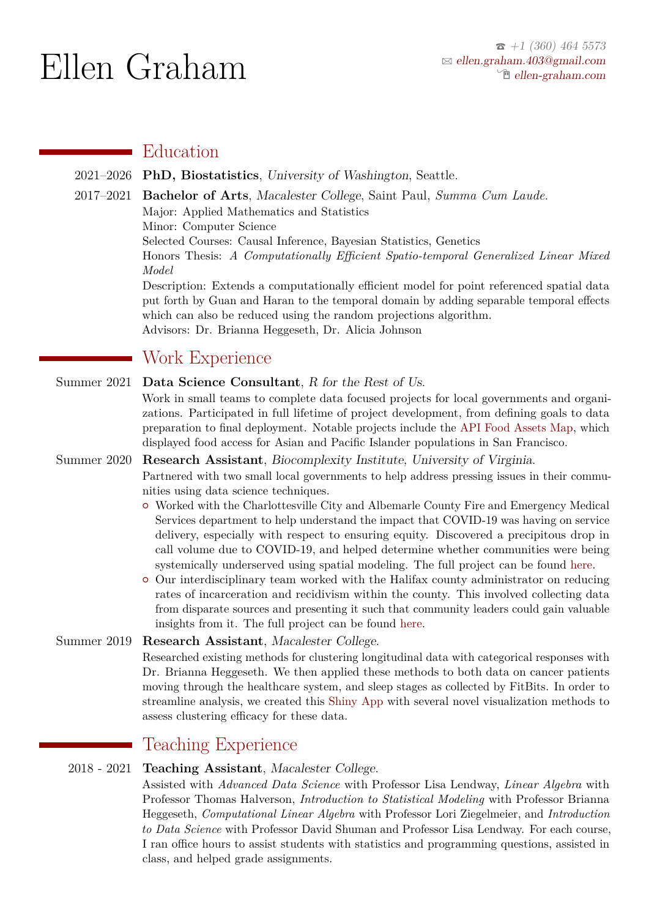# Ellen Graham

## Education

- 2021–2026 **PhD, Biostatistics**, University of Washington, Seattle.
- 2017–2021 **Bachelor of Arts**, Macalester College, Saint Paul, *Summa Cum Laude*.
	- Major: Applied Mathematics and Statistics

Minor: Computer Science

Selected Courses: Causal Inference, Bayesian Statistics, Genetics

Honors Thesis: *A Computationally Efficient Spatio-temporal Generalized Linear Mixed Model*

Description: Extends a computationally efficient model for point referenced spatial data put forth by Guan and Haran to the temporal domain by adding separable temporal effects which can also be reduced using the random projections algorithm. Advisors: Dr. Brianna Heggeseth, Dr. Alicia Johnson

# Work Experience

Summer 2021 **Data Science Consultant**, R for the Rest of Us.

Work in small teams to complete data focused projects for local governments and organizations. Participated in full lifetime of project development, from defining goals to data preparation to final deployment. Notable projects include the [API Food Assets Map,](https://foodmap.apicouncil.org/) which displayed food access for Asian and Pacific Islander populations in San Francisco.

#### Summer 2020 **Research Assistant**, Biocomplexity Institute, University of Virginia.

Partnered with two small local governments to help address pressing issues in their communities using data science techniques.

- { Worked with the Charlottesville City and Albemarle County Fire and Emergency Medical Services department to help understand the impact that COVID-19 was having on service delivery, especially with respect to ensuring equity. Discovered a precipitous drop in call volume due to COVID-19, and helped determine whether communities were being systemically underserved using spatial modeling. The full project can be found [here.](https://dspg-young-scholars-program.github.io/dspg20CharlottesvilleEMSEquity/)
- { Our interdisciplinary team worked with the Halifax county administrator on reducing rates of incarceration and recidivism within the county. This involved collecting data from disparate sources and presenting it such that community leaders could gain valuable insights from it. The full project can be found [here.](https://dspg-young-scholars-program.github.io/dspg20halifax/)

#### Summer 2019 **Research Assistant**, Macalester College.

Researched existing methods for clustering longitudinal data with categorical responses with Dr. Brianna Heggeseth. We then applied these methods to both data on cancer patients moving through the healthcare system, and sleep stages as collected by FitBits. In order to streamline analysis, we created this [Shiny App](https://heggesethlab.shinyapps.io/ShinyApp/) with several novel visualization methods to assess clustering efficacy for these data.

# Teaching Experience

#### 2018 - 2021 **Teaching Assistant**, Macalester College.

Assisted with *Advanced Data Science* with Professor Lisa Lendway, *Linear Algebra* with Professor Thomas Halverson, *Introduction to Statistical Modeling* with Professor Brianna Heggeseth, *Computational Linear Algebra* with Professor Lori Ziegelmeier, and *Introduction to Data Science* with Professor David Shuman and Professor Lisa Lendway. For each course, I ran office hours to assist students with statistics and programming questions, assisted in class, and helped grade assignments.